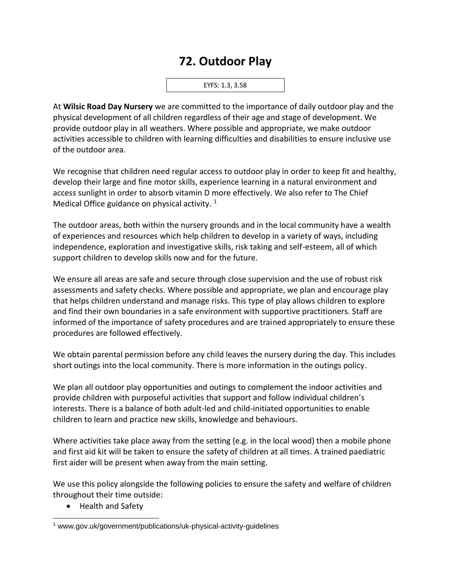## **72. Outdoor Play**

EYFS: 1.3, 3.58

At **Wilsic Road Day Nursery** we are committed to the importance of daily outdoor play and the physical development of all children regardless of their age and stage of development. We provide outdoor play in all weathers. Where possible and appropriate, we make outdoor activities accessible to children with learning difficulties and disabilities to ensure inclusive use of the outdoor area.

We recognise that children need regular access to outdoor play in order to keep fit and healthy, develop their large and fine motor skills, experience learning in a natural environment and access sunlight in order to absorb vitamin D more effectively. We also refer to The Chief Medical Office guidance on physical activity.  $1$ 

The outdoor areas, both within the nursery grounds and in the local community have a wealth of experiences and resources which help children to develop in a variety of ways, including independence, exploration and investigative skills, risk taking and self-esteem, all of which support children to develop skills now and for the future.

We ensure all areas are safe and secure through close supervision and the use of robust risk assessments and safety checks. Where possible and appropriate, we plan and encourage play that helps children understand and manage risks. This type of play allows children to explore and find their own boundaries in a safe environment with supportive practitioners. Staff are informed of the importance of safety procedures and are trained appropriately to ensure these procedures are followed effectively.

We obtain parental permission before any child leaves the nursery during the day. This includes short outings into the local community. There is more information in the outings policy.

We plan all outdoor play opportunities and outings to complement the indoor activities and provide children with purposeful activities that support and follow individual children's interests. There is a balance of both adult-led and child-initiated opportunities to enable children to learn and practice new skills, knowledge and behaviours.

Where activities take place away from the setting (e.g. in the local wood) then a mobile phone and first aid kit will be taken to ensure the safety of children at all times. A trained paediatric first aider will be present when away from the main setting.

We use this policy alongside the following policies to ensure the safety and welfare of children throughout their time outside:

• Health and Safety

<sup>1</sup> www.gov.uk/government/publications/uk-physical-activity-guidelines